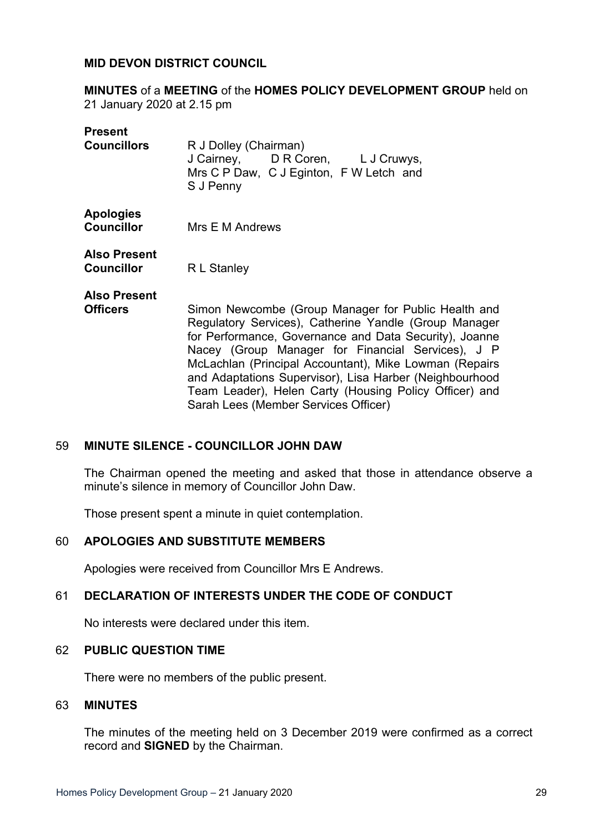#### **MID DEVON DISTRICT COUNCIL**

**MINUTES** of a **MEETING** of the **HOMES POLICY DEVELOPMENT GROUP** held on 21 January 2020 at 2.15 pm

| <b>Present</b><br><b>Councillors</b>     | R J Dolley (Chairman)<br>J Cairney, D R Coren, L J Cruwys,<br>Mrs C P Daw, C J Eginton, F W Letch and<br>S J Penny                                                                                                                                                                                                                                                                                                                                 |
|------------------------------------------|----------------------------------------------------------------------------------------------------------------------------------------------------------------------------------------------------------------------------------------------------------------------------------------------------------------------------------------------------------------------------------------------------------------------------------------------------|
| <b>Apologies</b><br><b>Councillor</b>    | Mrs E M Andrews                                                                                                                                                                                                                                                                                                                                                                                                                                    |
| <b>Also Present</b><br><b>Councillor</b> | R L Stanley                                                                                                                                                                                                                                                                                                                                                                                                                                        |
| <b>Also Present</b><br><b>Officers</b>   | Simon Newcombe (Group Manager for Public Health and<br>Regulatory Services), Catherine Yandle (Group Manager<br>for Performance, Governance and Data Security), Joanne<br>Nacey (Group Manager for Financial Services), J P<br>McLachlan (Principal Accountant), Mike Lowman (Repairs<br>and Adaptations Supervisor), Lisa Harber (Neighbourhood<br>Team Leader), Helen Carty (Housing Policy Officer) and<br>Sarah Lees (Member Services Officer) |

#### 59 **MINUTE SILENCE - COUNCILLOR JOHN DAW**

The Chairman opened the meeting and asked that those in attendance observe a minute's silence in memory of Councillor John Daw.

Those present spent a minute in quiet contemplation.

#### 60 **APOLOGIES AND SUBSTITUTE MEMBERS**

Apologies were received from Councillor Mrs E Andrews.

#### 61 **DECLARATION OF INTERESTS UNDER THE CODE OF CONDUCT**

No interests were declared under this item.

#### 62 **PUBLIC QUESTION TIME**

There were no members of the public present.

#### 63 **MINUTES**

The minutes of the meeting held on 3 December 2019 were confirmed as a correct record and **SIGNED** by the Chairman.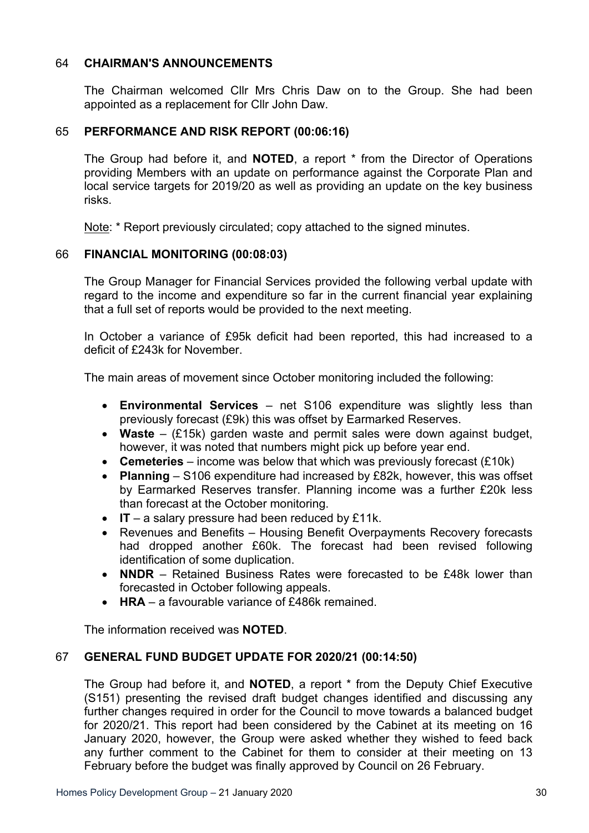# 64 **CHAIRMAN'S ANNOUNCEMENTS**

The Chairman welcomed Cllr Mrs Chris Daw on to the Group. She had been appointed as a replacement for Cllr John Daw.

### 65 **PERFORMANCE AND RISK REPORT (00:06:16)**

The Group had before it, and **NOTED**, a report \* from the Director of Operations providing Members with an update on performance against the Corporate Plan and local service targets for 2019/20 as well as providing an update on the key business risks.

Note: \* Report previously circulated; copy attached to the signed minutes.

#### 66 **FINANCIAL MONITORING (00:08:03)**

The Group Manager for Financial Services provided the following verbal update with regard to the income and expenditure so far in the current financial year explaining that a full set of reports would be provided to the next meeting.

In October a variance of £95k deficit had been reported, this had increased to a deficit of £243k for November.

The main areas of movement since October monitoring included the following:

- **Environmental Services** net S106 expenditure was slightly less than previously forecast (£9k) this was offset by Earmarked Reserves.
- **Waste** (£15k) garden waste and permit sales were down against budget, however, it was noted that numbers might pick up before year end.
- **Cemeteries** income was below that which was previously forecast (£10k)
- **Planning** S106 expenditure had increased by £82k, however, this was offset by Earmarked Reserves transfer. Planning income was a further £20k less than forecast at the October monitoring.
- **IT** a salary pressure had been reduced by £11k.
- Revenues and Benefits Housing Benefit Overpayments Recovery forecasts had dropped another £60k. The forecast had been revised following identification of some duplication.
- **NNDR** Retained Business Rates were forecasted to be £48k lower than forecasted in October following appeals.
- **HRA** a favourable variance of £486k remained.

The information received was **NOTED**.

### 67 **GENERAL FUND BUDGET UPDATE FOR 2020/21 (00:14:50)**

The Group had before it, and **NOTED**, a report \* from the Deputy Chief Executive (S151) presenting the revised draft budget changes identified and discussing any further changes required in order for the Council to move towards a balanced budget for 2020/21. This report had been considered by the Cabinet at its meeting on 16 January 2020, however, the Group were asked whether they wished to feed back any further comment to the Cabinet for them to consider at their meeting on 13 February before the budget was finally approved by Council on 26 February.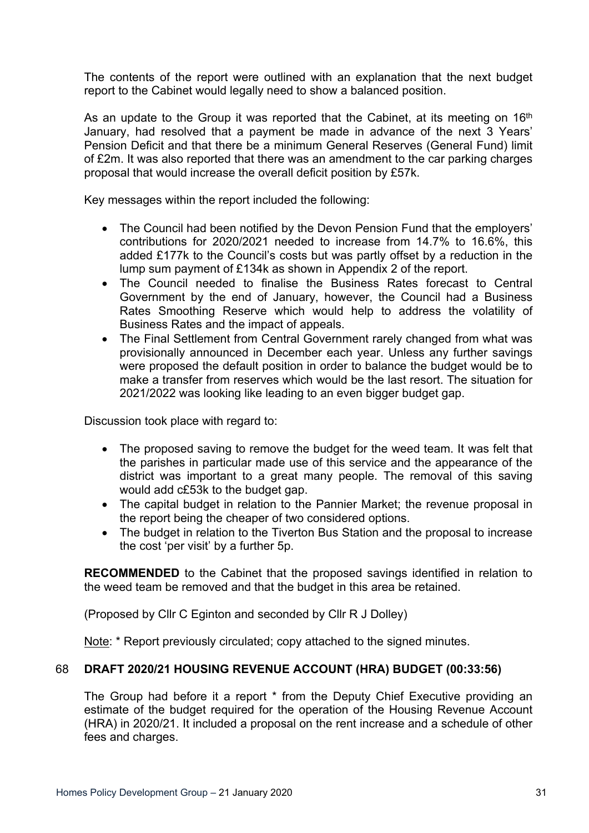The contents of the report were outlined with an explanation that the next budget report to the Cabinet would legally need to show a balanced position.

As an update to the Group it was reported that the Cabinet, at its meeting on 16<sup>th</sup> January, had resolved that a payment be made in advance of the next 3 Years' Pension Deficit and that there be a minimum General Reserves (General Fund) limit of £2m. It was also reported that there was an amendment to the car parking charges proposal that would increase the overall deficit position by £57k.

Key messages within the report included the following:

- The Council had been notified by the Devon Pension Fund that the employers' contributions for 2020/2021 needed to increase from 14.7% to 16.6%, this added £177k to the Council's costs but was partly offset by a reduction in the lump sum payment of £134k as shown in Appendix 2 of the report.
- The Council needed to finalise the Business Rates forecast to Central Government by the end of January, however, the Council had a Business Rates Smoothing Reserve which would help to address the volatility of Business Rates and the impact of appeals.
- The Final Settlement from Central Government rarely changed from what was provisionally announced in December each year. Unless any further savings were proposed the default position in order to balance the budget would be to make a transfer from reserves which would be the last resort. The situation for 2021/2022 was looking like leading to an even bigger budget gap.

Discussion took place with regard to:

- The proposed saving to remove the budget for the weed team. It was felt that the parishes in particular made use of this service and the appearance of the district was important to a great many people. The removal of this saving would add c£53k to the budget gap.
- The capital budget in relation to the Pannier Market; the revenue proposal in the report being the cheaper of two considered options.
- The budget in relation to the Tiverton Bus Station and the proposal to increase the cost 'per visit' by a further 5p.

**RECOMMENDED** to the Cabinet that the proposed savings identified in relation to the weed team be removed and that the budget in this area be retained.

(Proposed by Cllr C Eginton and seconded by Cllr R J Dolley)

Note: \* Report previously circulated; copy attached to the signed minutes.

#### 68 **DRAFT 2020/21 HOUSING REVENUE ACCOUNT (HRA) BUDGET (00:33:56)**

The Group had before it a report \* from the Deputy Chief Executive providing an estimate of the budget required for the operation of the Housing Revenue Account (HRA) in 2020/21. It included a proposal on the rent increase and a schedule of other fees and charges.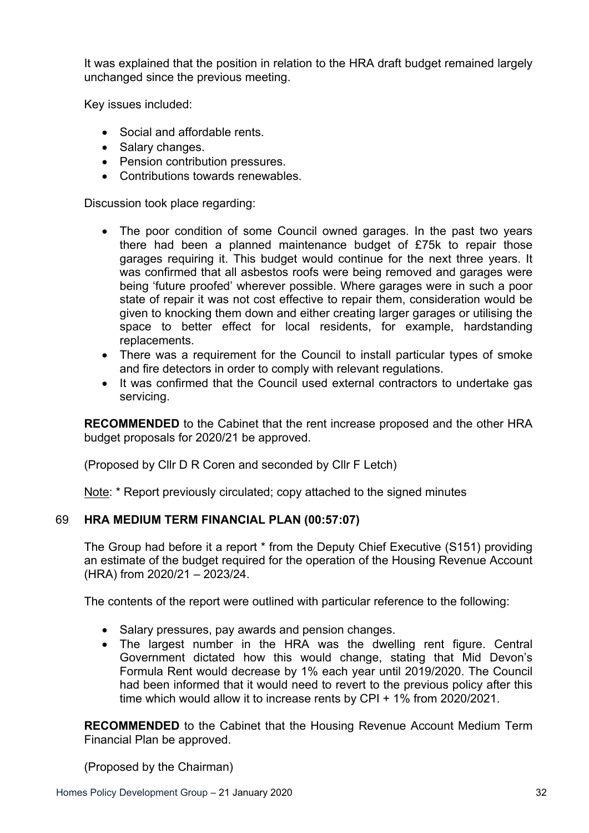It was explained that the position in relation to the HRA draft budget remained largely unchanged since the previous meeting.

Key issues included:

- Social and affordable rents.
- Salary changes.
- Pension contribution pressures.
- Contributions towards renewables.

Discussion took place regarding:

- The poor condition of some Council owned garages. In the past two years there had been a planned maintenance budget of £75k to repair those garages requiring it. This budget would continue for the next three years. It was confirmed that all asbestos roofs were being removed and garages were being 'future proofed' wherever possible. Where garages were in such a poor state of repair it was not cost effective to repair them, consideration would be given to knocking them down and either creating larger garages or utilising the space to better effect for local residents, for example, hardstanding replacements.
- There was a requirement for the Council to install particular types of smoke and fire detectors in order to comply with relevant regulations.
- It was confirmed that the Council used external contractors to undertake gas servicing.

**RECOMMENDED** to the Cabinet that the rent increase proposed and the other HRA budget proposals for 2020/21 be approved.

(Proposed by Cllr D R Coren and seconded by Cllr F Letch)

Note: \* Report previously circulated; copy attached to the signed minutes

# 69 **HRA MEDIUM TERM FINANCIAL PLAN (00:57:07)**

The Group had before it a report \* from the Deputy Chief Executive (S151) providing an estimate of the budget required for the operation of the Housing Revenue Account (HRA) from 2020/21 – 2023/24.

The contents of the report were outlined with particular reference to the following:

- Salary pressures, pay awards and pension changes.
- The largest number in the HRA was the dwelling rent figure. Central Government dictated how this would change, stating that Mid Devon's Formula Rent would decrease by 1% each year until 2019/2020. The Council had been informed that it would need to revert to the previous policy after this time which would allow it to increase rents by CPI + 1% from 2020/2021.

**RECOMMENDED** to the Cabinet that the Housing Revenue Account Medium Term Financial Plan be approved.

(Proposed by the Chairman)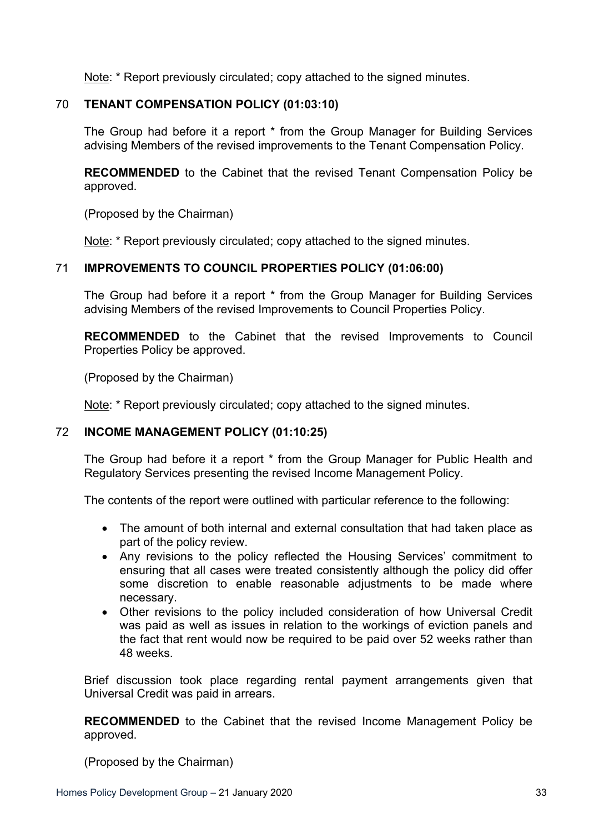Note: \* Report previously circulated; copy attached to the signed minutes.

# 70 **TENANT COMPENSATION POLICY (01:03:10)**

The Group had before it a report \* from the Group Manager for Building Services advising Members of the revised improvements to the Tenant Compensation Policy.

**RECOMMENDED** to the Cabinet that the revised Tenant Compensation Policy be approved.

(Proposed by the Chairman)

Note: \* Report previously circulated; copy attached to the signed minutes.

#### 71 **IMPROVEMENTS TO COUNCIL PROPERTIES POLICY (01:06:00)**

The Group had before it a report \* from the Group Manager for Building Services advising Members of the revised Improvements to Council Properties Policy.

**RECOMMENDED** to the Cabinet that the revised Improvements to Council Properties Policy be approved.

(Proposed by the Chairman)

Note: \* Report previously circulated; copy attached to the signed minutes.

#### 72 **INCOME MANAGEMENT POLICY (01:10:25)**

The Group had before it a report \* from the Group Manager for Public Health and Regulatory Services presenting the revised Income Management Policy.

The contents of the report were outlined with particular reference to the following:

- The amount of both internal and external consultation that had taken place as part of the policy review.
- Any revisions to the policy reflected the Housing Services' commitment to ensuring that all cases were treated consistently although the policy did offer some discretion to enable reasonable adjustments to be made where necessary.
- Other revisions to the policy included consideration of how Universal Credit was paid as well as issues in relation to the workings of eviction panels and the fact that rent would now be required to be paid over 52 weeks rather than 48 weeks.

Brief discussion took place regarding rental payment arrangements given that Universal Credit was paid in arrears.

**RECOMMENDED** to the Cabinet that the revised Income Management Policy be approved.

(Proposed by the Chairman)